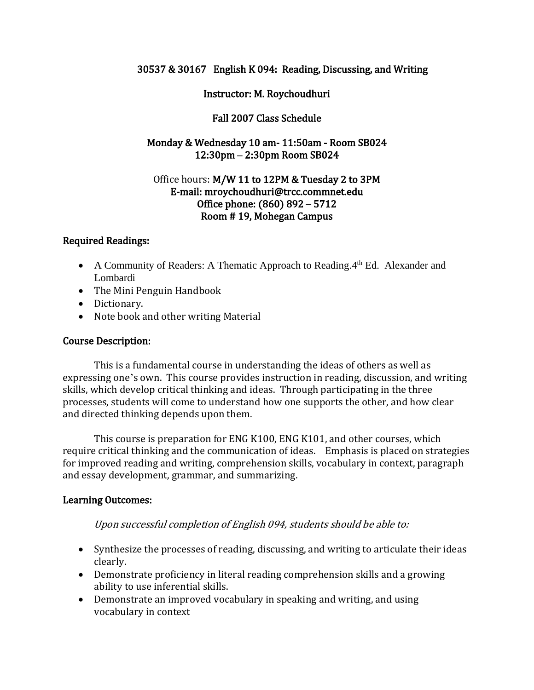#### 30537 & 30167 English K 094: Reading, Discussing, and Writing

#### Instructor: M. Roychoudhuri

### Fall 2007 Class Schedule

## Monday & Wednesday 10 am- 11:50am - Room SB024 12:30pm **–** 2:30pm Room SB024

#### Office hours: M/W 11 to 12PM & Tuesday 2 to 3PM E-mail: mroychoudhuri@trcc.commnet.edu Office phone: (860) 892 **–** 5712 Room # 19, Mohegan Campus

### Required Readings:

- A Community of Readers: A Thematic Approach to Reading. 4th Ed. Alexander and Lombardi
- The Mini Penguin Handbook
- Dictionary.
- Note book and other writing Material

### Course Description:

 This is a fundamental course in understanding the ideas of others as well as expressing one's own. This course provides instruction in reading, discussion, and writing skills, which develop critical thinking and ideas. Through participating in the three processes, students will come to understand how one supports the other, and how clear and directed thinking depends upon them.

This course is preparation for ENG K100, ENG K101, and other courses, which require critical thinking and the communication of ideas. Emphasis is placed on strategies for improved reading and writing, comprehension skills, vocabulary in context, paragraph and essay development, grammar, and summarizing.

### Learning Outcomes:

Upon successful completion of English 094, students should be able to:

- Synthesize the processes of reading, discussing, and writing to articulate their ideas clearly.
- Demonstrate proficiency in literal reading comprehension skills and a growing ability to use inferential skills.
- Demonstrate an improved vocabulary in speaking and writing, and using vocabulary in context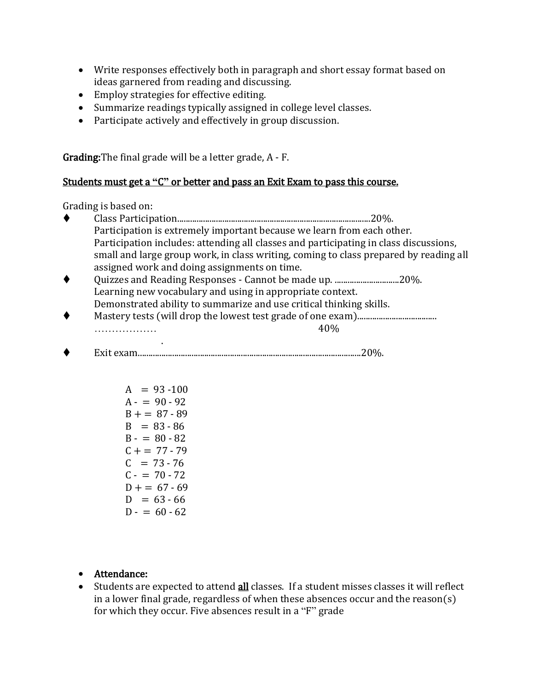- Write responses effectively both in paragraph and short essay format based on ideas garnered from reading and discussing.
- Employ strategies for effective editing.
- Summarize readings typically assigned in college level classes.
- Participate actively and effectively in group discussion.

Grading:The final grade will be a letter grade, A - F.

## Students must get a **"**C**"** or better and pass an Exit Exam to pass this course.

Grading is based on:

- Class Participation..........................................................................................20%. Participation is extremely important because we learn from each other. Participation includes: attending all classes and participating in class discussions, small and large group work, in class writing, coming to class prepared by reading all assigned work and doing assignments on time. Quizzes and Reading Responses - Cannot be made up. ..............................20%. Learning new vocabulary and using in appropriate context. Demonstrated ability to summarize and use critical thinking skills.
- Mastery tests (will drop the lowest test grade of one exam).....................................  $\ldots$  40%
- . Exit exam........................................................................................................20%.
	- $A = 93 100$  $A - 90 - 92$  $B + = 87 - 89$  $B = 83 - 86$  $B - = 80 - 82$  $C + 77 - 79$  $C = 73 - 76$  $C - = 70 - 72$  $D + = 67 - 69$  $D = 63 - 66$  $D - 60 - 62$
	- Attendance:
	- Students are expected to attend all classes. If a student misses classes it will reflect in a lower final grade, regardless of when these absences occur and the reason(s) for which they occur. Five absences result in a "F" grade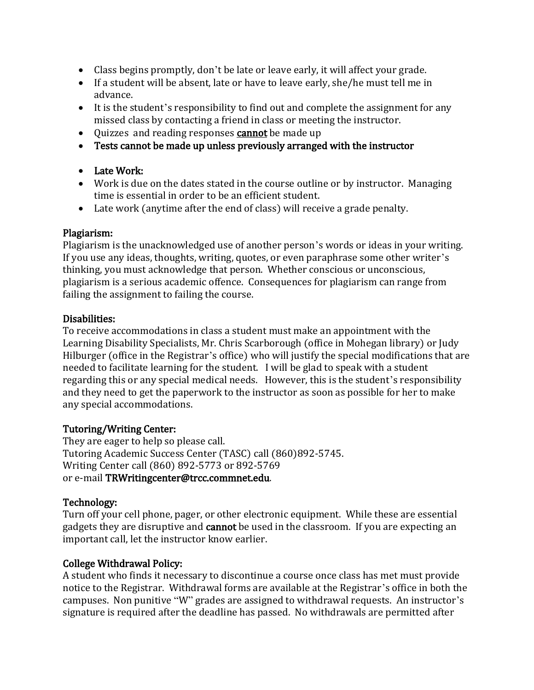- Class begins promptly, don't be late or leave early, it will affect your grade.
- If a student will be absent, late or have to leave early, she/he must tell me in advance.
- It is the student's responsibility to find out and complete the assignment for any missed class by contacting a friend in class or meeting the instructor.
- Quizzes and reading responses **cannot** be made up
- Tests cannot be made up unless previously arranged with the instructor

### Late Work:

- Work is due on the dates stated in the course outline or by instructor. Managing time is essential in order to be an efficient student.
- Late work (anytime after the end of class) will receive a grade penalty.

### Plagiarism:

Plagiarism is the unacknowledged use of another person's words or ideas in your writing. If you use any ideas, thoughts, writing, quotes, or even paraphrase some other writer's thinking, you must acknowledge that person. Whether conscious or unconscious, plagiarism is a serious academic offence. Consequences for plagiarism can range from failing the assignment to failing the course.

### Disabilities:

To receive accommodations in class a student must make an appointment with the Learning Disability Specialists, Mr. Chris Scarborough (office in Mohegan library) or Judy Hilburger (office in the Registrar's office) who will justify the special modifications that are needed to facilitate learning for the student. I will be glad to speak with a student regarding this or any special medical needs. However, this is the student's responsibility and they need to get the paperwork to the instructor as soon as possible for her to make any special accommodations.

## Tutoring/Writing Center:

They are eager to help so please call. Tutoring Academic Success Center (TASC) call (860)892-5745. Writing Center call (860) 892-5773 or 892-5769 or e-mail TRWritingcenter@trcc.commnet.edu.

## Technology:

Turn off your cell phone, pager, or other electronic equipment. While these are essential gadgets they are disruptive and cannot be used in the classroom. If you are expecting an important call, let the instructor know earlier.

## College Withdrawal Policy:

A student who finds it necessary to discontinue a course once class has met must provide notice to the Registrar. Withdrawal forms are available at the Registrar's office in both the campuses. Non punitive "W" grades are assigned to withdrawal requests. An instructor's signature is required after the deadline has passed. No withdrawals are permitted after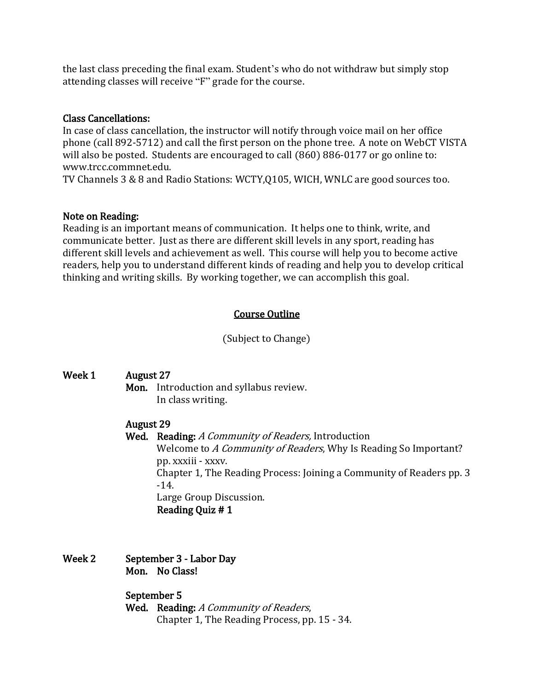the last class preceding the final exam. Student's who do not withdraw but simply stop attending classes will receive "F" grade for the course.

#### Class Cancellations:

In case of class cancellation, the instructor will notify through voice mail on her office phone (call 892-5712) and call the first person on the phone tree. A note on WebCT VISTA will also be posted. Students are encouraged to call (860) 886-0177 or go online to: www.trcc.commnet.edu.

TV Channels 3 & 8 and Radio Stations: WCTY,Q105, WICH, WNLC are good sources too.

#### Note on Reading:

Reading is an important means of communication. It helps one to think, write, and communicate better. Just as there are different skill levels in any sport, reading has different skill levels and achievement as well. This course will help you to become active readers, help you to understand different kinds of reading and help you to develop critical thinking and writing skills. By working together, we can accomplish this goal.

### Course Outline

(Subject to Change)

| Week 1 | <b>August 27</b> |                                                                      |
|--------|------------------|----------------------------------------------------------------------|
|        | Mon.             | Introduction and syllabus review.                                    |
|        |                  | In class writing.                                                    |
|        | <b>August 29</b> |                                                                      |
|        |                  | <b>Wed.</b> Reading: A Community of Readers, Introduction            |
|        |                  | Welcome to A Community of Readers, Why Is Reading So Important?      |
|        |                  | pp. xxxiii - xxxv.                                                   |
|        |                  | Chapter 1, The Reading Process: Joining a Community of Readers pp. 3 |
|        |                  | $-14.$                                                               |
|        |                  | Large Group Discussion.                                              |
|        |                  | Reading Quiz # 1                                                     |
|        |                  |                                                                      |
|        |                  |                                                                      |
|        |                  |                                                                      |

Week 2 September 3 - Labor Day Mon. No Class!

> September 5 Wed. Reading: A Community of Readers, Chapter 1, The Reading Process, pp. 15 - 34.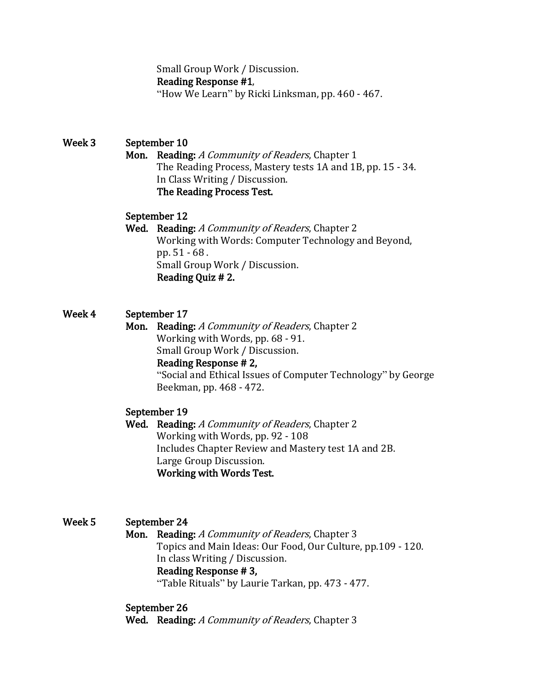Small Group Work / Discussion. Reading Response #1, "How We Learn" by Ricki Linksman, pp. 460 - 467.

# Week 3 September 10

Mon. Reading: A Community of Readers, Chapter 1 The Reading Process, Mastery tests 1A and 1B, pp. 15 - 34. In Class Writing / Discussion. The Reading Process Test.

### September 12

Wed. Reading: A Community of Readers, Chapter 2 Working with Words: Computer Technology and Beyond, pp. 51 - 68 . Small Group Work / Discussion. Reading Quiz # 2.

## Week 4 September 17

Mon. Reading: A Community of Readers, Chapter 2 Working with Words, pp. 68 - 91. Small Group Work / Discussion. Reading Response # 2, "Social and Ethical Issues of Computer Technology" by George Beekman, pp. 468 - 472.

### September 19

Wed. Reading: A Community of Readers, Chapter 2 Working with Words, pp. 92 - 108 Includes Chapter Review and Mastery test 1A and 2B. Large Group Discussion. Working with Words Test.

## Week 5 September 24

Mon. Reading: A Community of Readers, Chapter 3 Topics and Main Ideas: Our Food, Our Culture, pp.109 - 120. In class Writing / Discussion.

#### Reading Response # 3,

"Table Rituals" by Laurie Tarkan, pp. 473 - 477.

### September 26

Wed. Reading: A Community of Readers, Chapter 3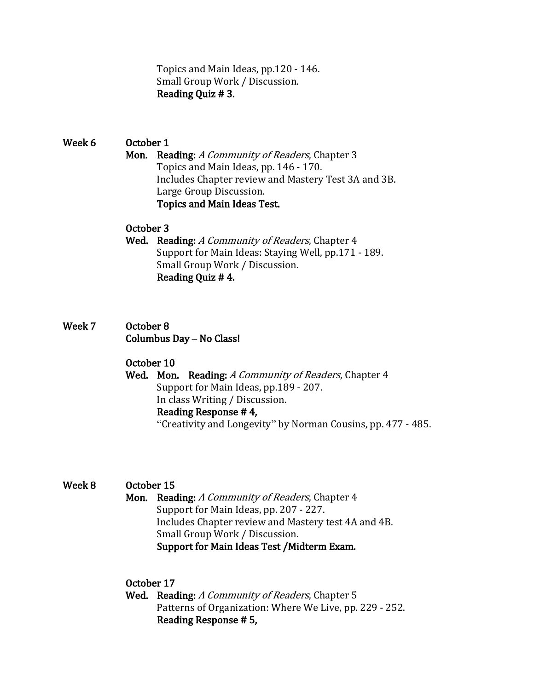Topics and Main Ideas, pp.120 - 146. Small Group Work / Discussion. Reading Quiz # 3.

# Week 6 October 1 Mon. Reading: A Community of Readers, Chapter 3 Topics and Main Ideas, pp. 146 - 170. Includes Chapter review and Mastery Test 3A and 3B. Large Group Discussion. Topics and Main Ideas Test.

### October 3

- Wed. Reading: A Community of Readers, Chapter 4 Support for Main Ideas: Staying Well, pp.171 - 189. Small Group Work / Discussion. Reading Quiz # 4.
- Week 7 October 8 Columbus Day **–** No Class!

### October 10

Wed. Mon. Reading: A Community of Readers, Chapter 4 Support for Main Ideas, pp.189 - 207. In class Writing / Discussion. Reading Response # 4, "Creativity and Longevity" by Norman Cousins, pp. 477 - 485.

### Week 8 October 15

- 
- Mon. Reading: A Community of Readers, Chapter 4 Support for Main Ideas, pp. 207 - 227. Includes Chapter review and Mastery test 4A and 4B. Small Group Work / Discussion. Support for Main Ideas Test /Midterm Exam.

## October 17

Wed. Reading: A Community of Readers, Chapter 5 Patterns of Organization: Where We Live, pp. 229 - 252. Reading Response # 5,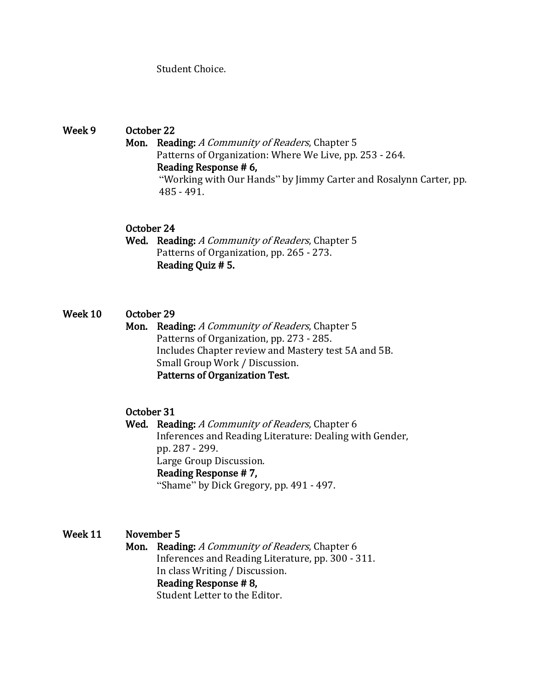Student Choice.

Week 9 October 22 Mon. Reading: A Community of Readers, Chapter 5 Patterns of Organization: Where We Live, pp. 253 - 264. Reading Response # 6, "Working with Our Hands" by Jimmy Carter and Rosalynn Carter, pp. 485 - 491.

### October 24

Wed. Reading: A Community of Readers, Chapter 5 Patterns of Organization, pp. 265 - 273. Reading Quiz # 5.

### Week 10 October 29

Mon. Reading: A Community of Readers, Chapter 5 Patterns of Organization, pp. 273 - 285. Includes Chapter review and Mastery test 5A and 5B. Small Group Work / Discussion. Patterns of Organization Test.

### October 31

Wed. Reading: A Community of Readers, Chapter 6 Inferences and Reading Literature: Dealing with Gender, pp. 287 - 299. Large Group Discussion. Reading Response # 7, "Shame" by Dick Gregory, pp. 491 - 497.

### Week 11 November 5

Mon. Reading: A Community of Readers, Chapter 6 Inferences and Reading Literature, pp. 300 - 311. In class Writing / Discussion. Reading Response # 8, Student Letter to the Editor.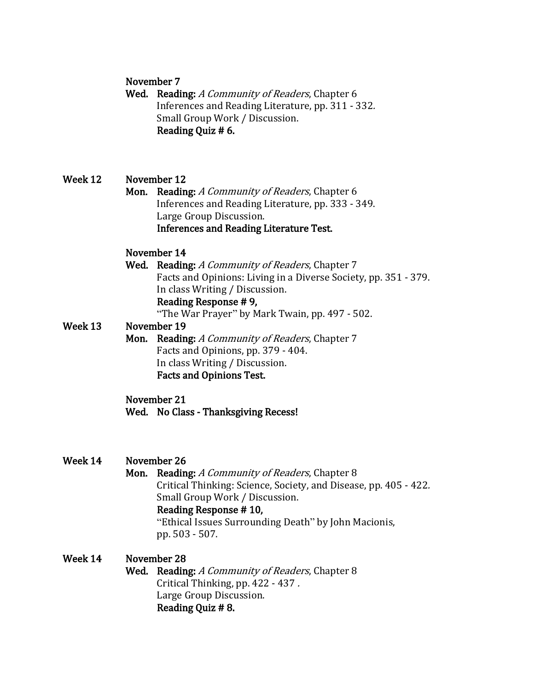### November 7

Wed. Reading: A Community of Readers, Chapter 6 Inferences and Reading Literature, pp. 311 - 332. Small Group Work / Discussion. Reading Quiz # 6.

## Week 12 November 12

Mon. Reading: A Community of Readers, Chapter 6 Inferences and Reading Literature, pp. 333 - 349. Large Group Discussion. Inferences and Reading Literature Test.

### November 14

Wed. Reading: A Community of Readers, Chapter 7 Facts and Opinions: Living in a Diverse Society, pp. 351 - 379. In class Writing / Discussion. Reading Response # 9,

"The War Prayer" by Mark Twain, pp. 497 - 502.

### Week 13 November 19

Mon. Reading: A Community of Readers, Chapter 7 Facts and Opinions, pp. 379 - 404. In class Writing / Discussion. Facts and Opinions Test.

# November 21

Wed. No Class - Thanksgiving Recess!

- Week 14 November 26
	- Mon. Reading: A Community of Readers, Chapter 8 Critical Thinking: Science, Society, and Disease, pp. 405 - 422. Small Group Work / Discussion. Reading Response # 10,

"Ethical Issues Surrounding Death" by John Macionis, pp. 503 - 507.

## Week 14 November 28

Wed. Reading: A Community of Readers, Chapter 8 Critical Thinking, pp. 422 - 437 . Large Group Discussion. Reading Quiz # 8.